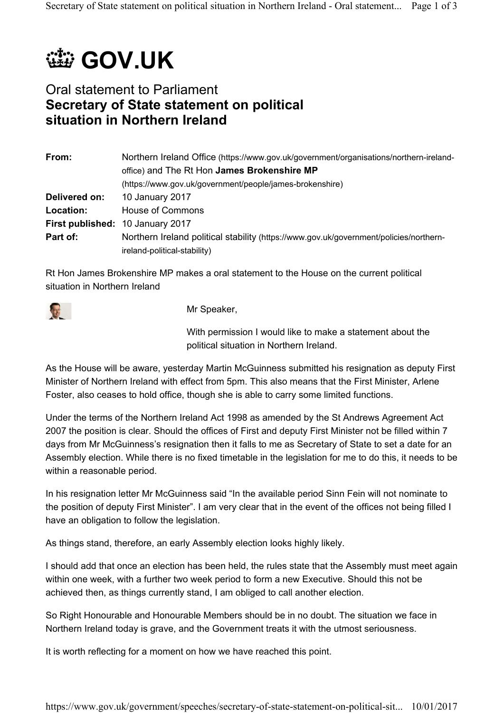## *(选* **GOV.UK**

## Oral statement to Parliament **Secretary of State statement on political situation in Northern Ireland**

| From:         | Northern Ireland Office (https://www.gov.uk/government/organisations/northern-ireland- |
|---------------|----------------------------------------------------------------------------------------|
|               | office) and The Rt Hon James Brokenshire MP                                            |
|               | (https://www.gov.uk/government/people/james-brokenshire)                               |
| Delivered on: | 10 January 2017                                                                        |
| Location:     | <b>House of Commons</b>                                                                |
|               | First published: 10 January 2017                                                       |
| Part of:      | Northern Ireland political stability (https://www.gov.uk/government/policies/northern- |
|               | ireland-political-stability)                                                           |

Rt Hon James Brokenshire MP makes a oral statement to the House on the current political situation in Northern Ireland



Mr Speaker,

With permission I would like to make a statement about the political situation in Northern Ireland.

As the House will be aware, yesterday Martin McGuinness submitted his resignation as deputy First Minister of Northern Ireland with effect from 5pm. This also means that the First Minister, Arlene Foster, also ceases to hold office, though she is able to carry some limited functions.

Under the terms of the Northern Ireland Act 1998 as amended by the St Andrews Agreement Act 2007 the position is clear. Should the offices of First and deputy First Minister not be filled within 7 days from Mr McGuinness's resignation then it falls to me as Secretary of State to set a date for an Assembly election. While there is no fixed timetable in the legislation for me to do this, it needs to be within a reasonable period.

In his resignation letter Mr McGuinness said "In the available period Sinn Fein will not nominate to the position of deputy First Minister". I am very clear that in the event of the offices not being filled I have an obligation to follow the legislation.

As things stand, therefore, an early Assembly election looks highly likely.

I should add that once an election has been held, the rules state that the Assembly must meet again within one week, with a further two week period to form a new Executive. Should this not be achieved then, as things currently stand, I am obliged to call another election.

So Right Honourable and Honourable Members should be in no doubt. The situation we face in Northern Ireland today is grave, and the Government treats it with the utmost seriousness.

It is worth reflecting for a moment on how we have reached this point.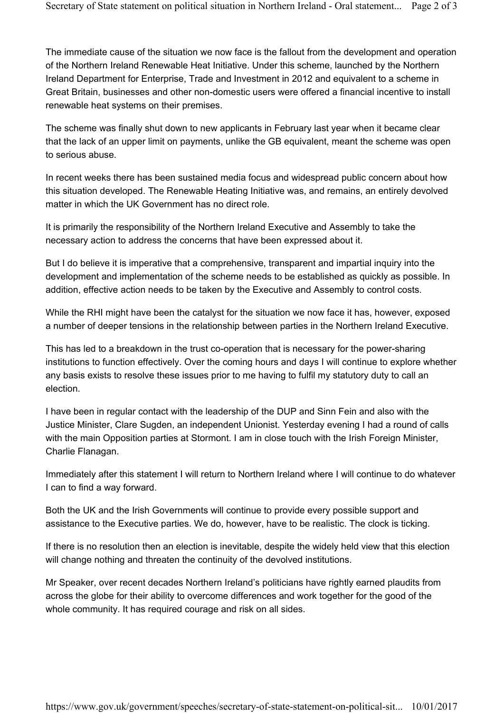The immediate cause of the situation we now face is the fallout from the development and operation of the Northern Ireland Renewable Heat Initiative. Under this scheme, launched by the Northern Ireland Department for Enterprise, Trade and Investment in 2012 and equivalent to a scheme in Great Britain, businesses and other non-domestic users were offered a financial incentive to install renewable heat systems on their premises.

The scheme was finally shut down to new applicants in February last year when it became clear that the lack of an upper limit on payments, unlike the GB equivalent, meant the scheme was open to serious abuse.

In recent weeks there has been sustained media focus and widespread public concern about how this situation developed. The Renewable Heating Initiative was, and remains, an entirely devolved matter in which the UK Government has no direct role.

It is primarily the responsibility of the Northern Ireland Executive and Assembly to take the necessary action to address the concerns that have been expressed about it.

But I do believe it is imperative that a comprehensive, transparent and impartial inquiry into the development and implementation of the scheme needs to be established as quickly as possible. In addition, effective action needs to be taken by the Executive and Assembly to control costs.

While the RHI might have been the catalyst for the situation we now face it has, however, exposed a number of deeper tensions in the relationship between parties in the Northern Ireland Executive.

This has led to a breakdown in the trust co-operation that is necessary for the power-sharing institutions to function effectively. Over the coming hours and days I will continue to explore whether any basis exists to resolve these issues prior to me having to fulfil my statutory duty to call an election.

I have been in regular contact with the leadership of the DUP and Sinn Fein and also with the Justice Minister, Clare Sugden, an independent Unionist. Yesterday evening I had a round of calls with the main Opposition parties at Stormont. I am in close touch with the Irish Foreign Minister, Charlie Flanagan.

Immediately after this statement I will return to Northern Ireland where I will continue to do whatever I can to find a way forward.

Both the UK and the Irish Governments will continue to provide every possible support and assistance to the Executive parties. We do, however, have to be realistic. The clock is ticking.

If there is no resolution then an election is inevitable, despite the widely held view that this election will change nothing and threaten the continuity of the devolved institutions.

Mr Speaker, over recent decades Northern Ireland's politicians have rightly earned plaudits from across the globe for their ability to overcome differences and work together for the good of the whole community. It has required courage and risk on all sides.